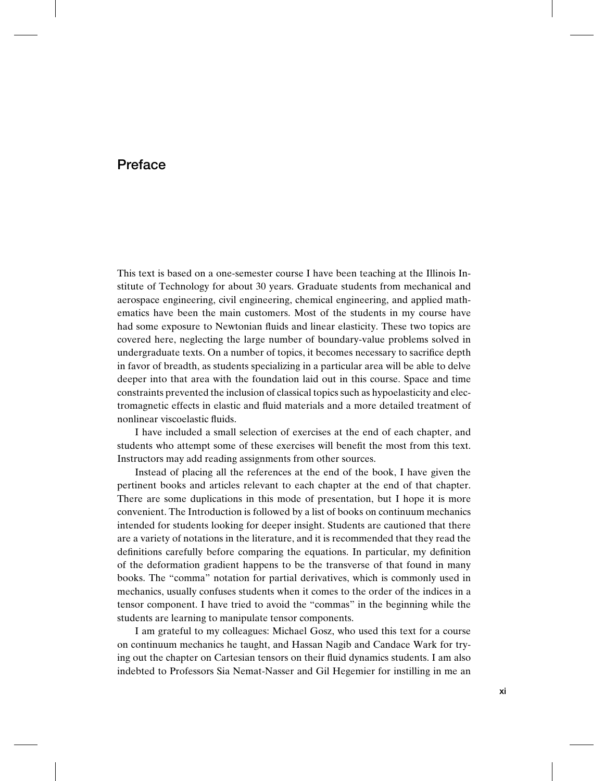## **Preface**

This text is based on a one-semester course I have been teaching at the Illinois Institute of Technology for about 30 years. Graduate students from mechanical and aerospace engineering, civil engineering, chemical engineering, and applied mathematics have been the main customers. Most of the students in my course have had some exposure to Newtonian fluids and linear elasticity. These two topics are covered here, neglecting the large number of boundary-value problems solved in undergraduate texts. On a number of topics, it becomes necessary to sacrifice depth in favor of breadth, as students specializing in a particular area will be able to delve deeper into that area with the foundation laid out in this course. Space and time constraints prevented the inclusion of classical topics such as hypoelasticity and electromagnetic effects in elastic and fluid materials and a more detailed treatment of nonlinear viscoelastic fluids.

I have included a small selection of exercises at the end of each chapter, and students who attempt some of these exercises will benefit the most from this text. Instructors may add reading assignments from other sources.

Instead of placing all the references at the end of the book, I have given the pertinent books and articles relevant to each chapter at the end of that chapter. There are some duplications in this mode of presentation, but I hope it is more convenient. The Introduction is followed by a list of books on continuum mechanics intended for students looking for deeper insight. Students are cautioned that there are a variety of notations in the literature, and it is recommended that they read the definitions carefully before comparing the equations. In particular, my definition of the deformation gradient happens to be the transverse of that found in many books. The "comma" notation for partial derivatives, which is commonly used in mechanics, usually confuses students when it comes to the order of the indices in a tensor component. I have tried to avoid the "commas" in the beginning while the students are learning to manipulate tensor components.

I am grateful to my colleagues: Michael Gosz, who used this text for a course on continuum mechanics he taught, and Hassan Nagib and Candace Wark for trying out the chapter on Cartesian tensors on their fluid dynamics students. I am also indebted to Professors Sia Nemat-Nasser and Gil Hegemier for instilling in me an